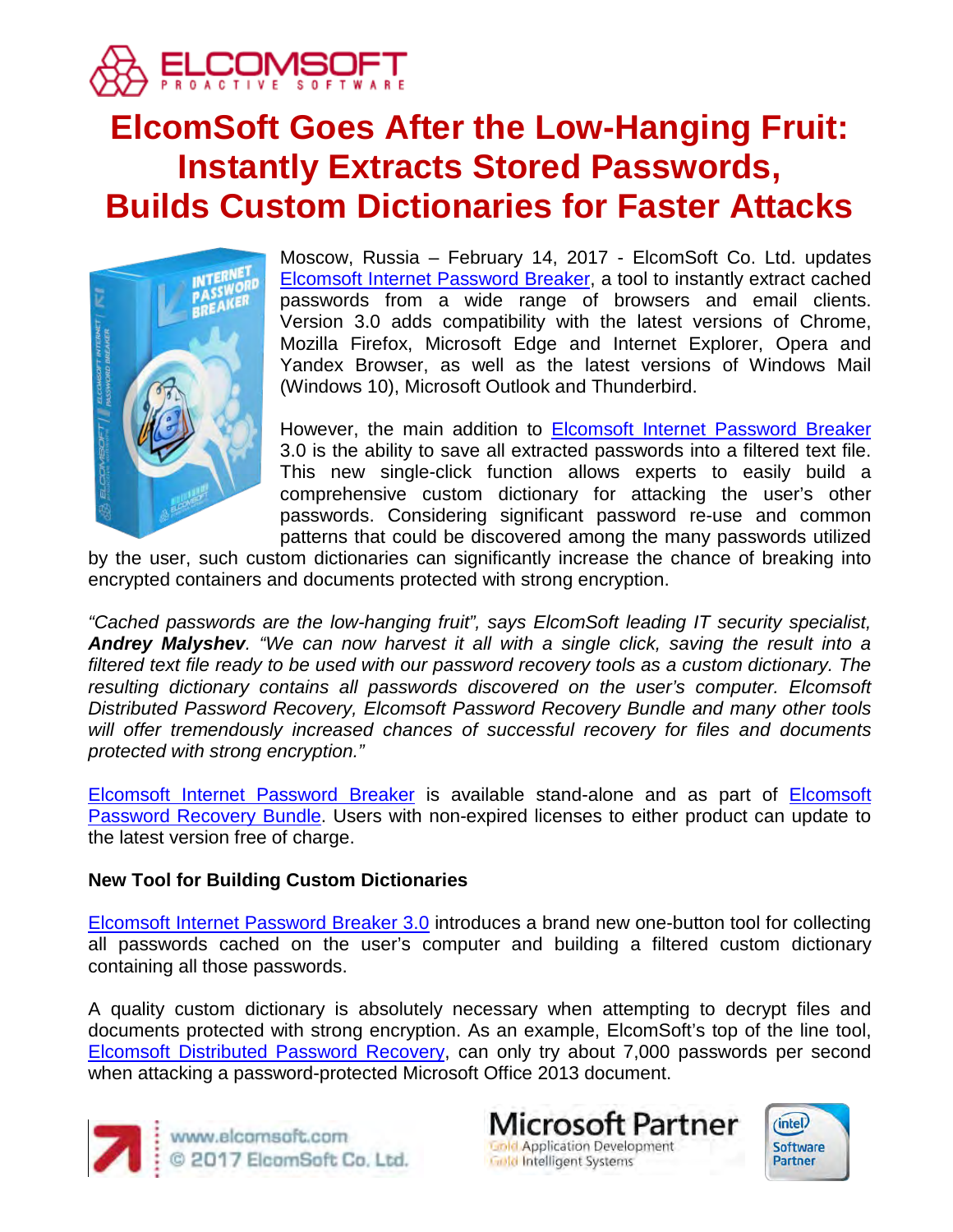

# **ElcomSoft Goes After the Low-Hanging Fruit: Instantly Extracts Stored Passwords, Builds Custom Dictionaries for Faster Attacks**



Moscow, Russia – February 14, 2017 - ElcomSoft Co. Ltd. updates [Elcomsoft Internet Password Breaker,](https://www.elcomsoft.com/einpb.html) a tool to instantly extract cached passwords from a wide range of browsers and email clients. Version 3.0 adds compatibility with the latest versions of Chrome, Mozilla Firefox, Microsoft Edge and Internet Explorer, Opera and Yandex Browser, as well as the latest versions of Windows Mail (Windows 10), Microsoft Outlook and Thunderbird.

However, the main addition to [Elcomsoft Internet Password Breaker](https://www.elcomsoft.com/einpb.html) 3.0 is the ability to save all extracted passwords into a filtered text file. This new single-click function allows experts to easily build a comprehensive custom dictionary for attacking the user's other passwords. Considering significant password re-use and common patterns that could be discovered among the many passwords utilized

by the user, such custom dictionaries can significantly increase the chance of breaking into encrypted containers and documents protected with strong encryption.

*"Cached passwords are the low-hanging fruit", says ElcomSoft leading IT security specialist, Andrey Malyshev. "We can now harvest it all with a single click, saving the result into a*  filtered text file ready to be used with our password recovery tools as a custom dictionary. The resulting dictionary contains all passwords discovered on the user's computer. Elcomsoft *Distributed Password Recovery, Elcomsoft Password Recovery Bundle and many other tools will offer tremendously increased chances of successful recovery for files and documents protected with strong encryption."*

[Elcomsoft Internet Password Breaker](https://www.elcomsoft.com/einpb.html) is available stand-alone and as part of [Elcomsoft](https://www.elcomsoft.com/eprb.html)  [Password Recovery Bundle.](https://www.elcomsoft.com/eprb.html) Users with non-expired licenses to either product can update to the latest version free of charge.

## **New Tool for Building Custom Dictionaries**

[Elcomsoft Internet Password Breaker 3.0](https://www.elcomsoft.com/einpb.html) introduces a brand new one-button tool for collecting all passwords cached on the user's computer and building a filtered custom dictionary containing all those passwords.

A quality custom dictionary is absolutely necessary when attempting to decrypt files and documents protected with strong encryption. As an example, ElcomSoft's top of the line tool, [Elcomsoft Distributed Password Recovery,](https://www.elcomsoft.com/edpr.html) can only try about 7,000 passwords per second when attacking a password-protected Microsoft Office 2013 document.



www.elcomsoft.com © 2017 ElcomSoft Co. Ltd.